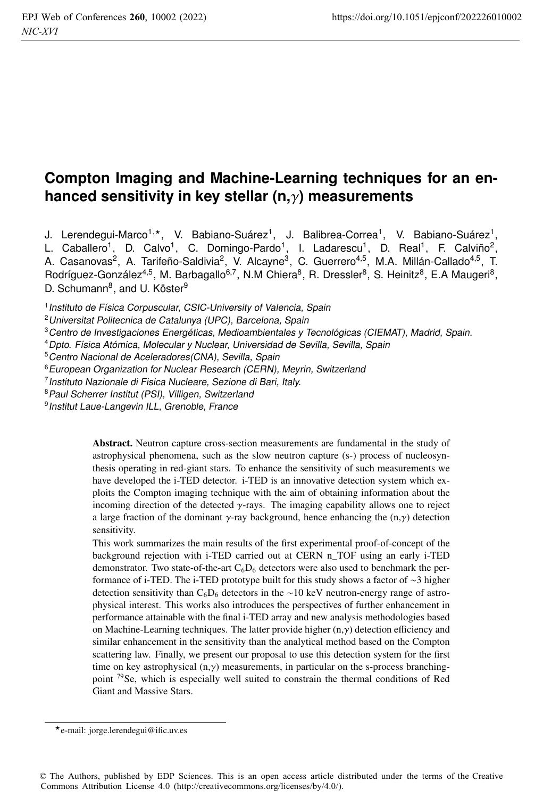# **Compton Imaging and Machine-Learning techniques for an enhanced sensitivity in key stellar (n,**γ**) measurements**

J. Lerendegui-Marco<sup>1,\*</sup>, V. Babiano-Suárez<sup>1</sup>, J. Balibrea-Correa<sup>1</sup>, V. Babiano-Suárez<sup>1</sup>, L. Caballero<sup>1</sup>, D. Calvo<sup>1</sup>, C. Domingo-Pardo<sup>1</sup>, I. Ladarescu<sup>1</sup>, D. Real<sup>1</sup>, F. Calviño<sup>2</sup>, A. Casanovas<sup>2</sup>, A. Tarifeño-Saldivia<sup>2</sup>, V. Alcayne<sup>3</sup>, C. Guerrero<sup>4,5</sup>, M.A. Millán-Callado<sup>4,5</sup>, T. Rodríguez-González<sup>4,5</sup>, M. Barbagallo<sup>6,7</sup>, N.M Chiera<sup>8</sup>, R. Dressler<sup>8</sup>, S. Heinitz<sup>8</sup>, E.A Maugeri<sup>8</sup>, D. Schumann<sup>8</sup>, and U. Köster<sup>9</sup>

<sup>1</sup> Instituto de Física Corpuscular, CSIC-University of Valencia, Spain

- <sup>3</sup>Centro de Investigaciones Energéticas, Medioambientales y Tecnológicas (CIEMAT), Madrid, Spain.
- <sup>4</sup>Dpto. Física Atómica, Molecular y Nuclear, Universidad de Sevilla, Sevilla, Spain
- <sup>5</sup> Centro Nacional de Aceleradores(CNA), Sevilla, Spain
- <sup>6</sup> European Organization for Nuclear Research (CERN), Meyrin, Switzerland
- <sup>7</sup>Instituto Nazionale di Fisica Nucleare, Sezione di Bari, Italy.
- <sup>8</sup> Paul Scherrer Institut (PSI), Villigen, Switzerland

<sup>9</sup> Institut Laue-Langevin ILL, Grenoble, France

Abstract. Neutron capture cross-section measurements are fundamental in the study of astrophysical phenomena, such as the slow neutron capture (s-) process of nucleosynthesis operating in red-giant stars. To enhance the sensitivity of such measurements we have developed the i-TED detector. i-TED is an innovative detection system which exploits the Compton imaging technique with the aim of obtaining information about the incoming direction of the detected  $\gamma$ -rays. The imaging capability allows one to reject a large fraction of the dominant  $\gamma$ -ray background, hence enhancing the  $(n,\gamma)$  detection sensitivity.

This work summarizes the main results of the first experimental proof-of-concept of the background rejection with i-TED carried out at CERN n\_TOF using an early i-TED demonstrator. Two state-of-the-art  $C_6D_6$  detectors were also used to benchmark the performance of i-TED. The i-TED prototype built for this study shows a factor of ∼3 higher detection sensitivity than  $C_6D_6$  detectors in the ∼10 keV neutron-energy range of astrophysical interest. This works also introduces the perspectives of further enhancement in performance attainable with the final i-TED array and new analysis methodologies based on Machine-Learning techniques. The latter provide higher (n,γ) detection efficiency and similar enhancement in the sensitivity than the analytical method based on the Compton scattering law. Finally, we present our proposal to use this detection system for the first time on key astrophysical  $(n,y)$  measurements, in particular on the s-process branchingpoint 79Se, which is especially well suited to constrain the thermal conditions of Red Giant and Massive Stars.

<sup>2</sup>Universitat Politecnica de Catalunya (UPC), Barcelona, Spain

e-mail: jorge.lerendegui@ific.uv.es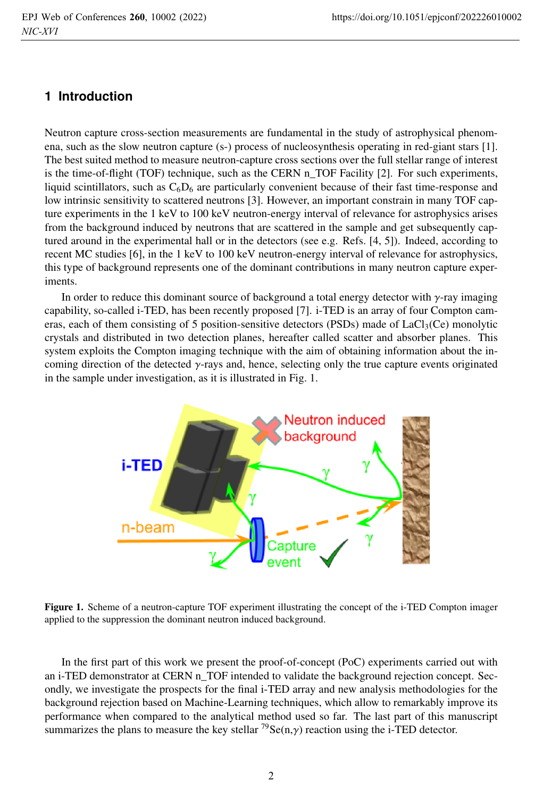## **1 Introduction**

Neutron capture cross-section measurements are fundamental in the study of astrophysical phenomena, such as the slow neutron capture (s-) process of nucleosynthesis operating in red-giant stars [1]. The best suited method to measure neutron-capture cross sections over the full stellar range of interest is the time-of-flight (TOF) technique, such as the CERN n\_TOF Facility [2]. For such experiments, liquid scintillators, such as  $C_6D_6$  are particularly convenient because of their fast time-response and low intrinsic sensitivity to scattered neutrons [3]. However, an important constrain in many TOF capture experiments in the 1 keV to 100 keV neutron-energy interval of relevance for astrophysics arises from the background induced by neutrons that are scattered in the sample and get subsequently captured around in the experimental hall or in the detectors (see e.g. Refs. [4, 5]). Indeed, according to recent MC studies [6], in the 1 keV to 100 keV neutron-energy interval of relevance for astrophysics, this type of background represents one of the dominant contributions in many neutron capture experiments.

In order to reduce this dominant source of background a total energy detector with  $\gamma$ -ray imaging capability, so-called i-TED, has been recently proposed [7]. i-TED is an array of four Compton cameras, each of them consisting of 5 position-sensitive detectors (PSDs) made of  $LaCl<sub>3</sub>(Ce)$  monolytic crystals and distributed in two detection planes, hereafter called scatter and absorber planes. This system exploits the Compton imaging technique with the aim of obtaining information about the incoming direction of the detected γ-rays and, hence, selecting only the true capture events originated in the sample under investigation, as it is illustrated in Fig. 1.



Figure 1. Scheme of a neutron-capture TOF experiment illustrating the concept of the i-TED Compton imager applied to the suppression the dominant neutron induced background.

In the first part of this work we present the proof-of-concept (PoC) experiments carried out with an i-TED demonstrator at CERN n\_TOF intended to validate the background rejection concept. Secondly, we investigate the prospects for the final i-TED array and new analysis methodologies for the background rejection based on Machine-Learning techniques, which allow to remarkably improve its performance when compared to the analytical method used so far. The last part of this manuscript summarizes the plans to measure the key stellar  $^{79}$ Se(n, $\gamma$ ) reaction using the i-TED detector.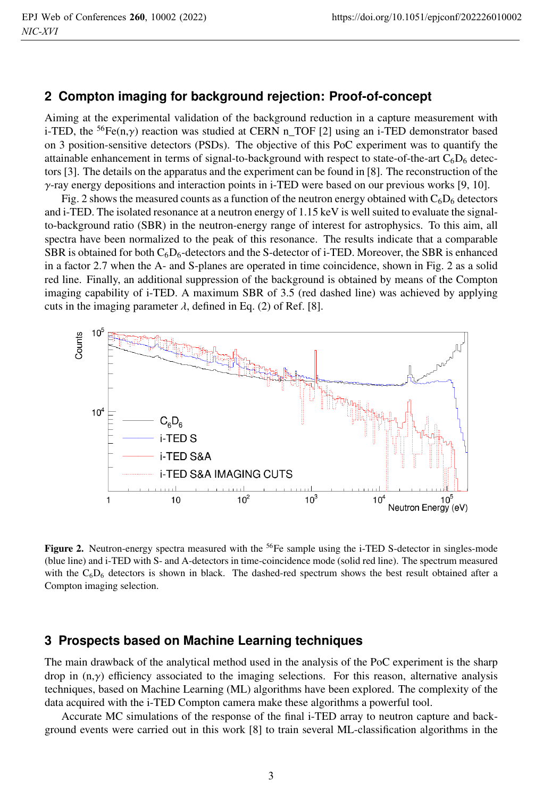#### **2 Compton imaging for background rejection: Proof-of-concept**

Aiming at the experimental validation of the background reduction in a capture measurement with i-TED, the <sup>56</sup>Fe(n, $\gamma$ ) reaction was studied at CERN n\_TOF [2] using an i-TED demonstrator based on 3 position-sensitive detectors (PSDs). The objective of this PoC experiment was to quantify the attainable enhancement in terms of signal-to-background with respect to state-of-the-art  $C_6D_6$  detectors [3]. The details on the apparatus and the experiment can be found in [8]. The reconstruction of the  $\gamma$ -ray energy depositions and interaction points in i-TED were based on our previous works [9, 10].

Fig. 2 shows the measured counts as a function of the neutron energy obtained with  $C_6D_6$  detectors and i-TED. The isolated resonance at a neutron energy of 1.15 keV is well suited to evaluate the signalto-background ratio (SBR) in the neutron-energy range of interest for astrophysics. To this aim, all spectra have been normalized to the peak of this resonance. The results indicate that a comparable SBR is obtained for both  $C_6D_6$ -detectors and the S-detector of i-TED. Moreover, the SBR is enhanced in a factor 2.7 when the A- and S-planes are operated in time coincidence, shown in Fig. 2 as a solid red line. Finally, an additional suppression of the background is obtained by means of the Compton imaging capability of i-TED. A maximum SBR of 3.5 (red dashed line) was achieved by applying cuts in the imaging parameter  $\lambda$ , defined in Eq. (2) of Ref. [8].



Figure 2. Neutron-energy spectra measured with the <sup>56</sup>Fe sample using the i-TED S-detector in singles-mode (blue line) and i-TED with S- and A-detectors in time-coincidence mode (solid red line). The spectrum measured with the  $C_6D_6$  detectors is shown in black. The dashed-red spectrum shows the best result obtained after a Compton imaging selection.

#### **3 Prospects based on Machine Learning techniques**

The main drawback of the analytical method used in the analysis of the PoC experiment is the sharp drop in  $(n, \gamma)$  efficiency associated to the imaging selections. For this reason, alternative analysis techniques, based on Machine Learning (ML) algorithms have been explored. The complexity of the data acquired with the i-TED Compton camera make these algorithms a powerful tool.

Accurate MC simulations of the response of the final i-TED array to neutron capture and background events were carried out in this work [8] to train several ML-classification algorithms in the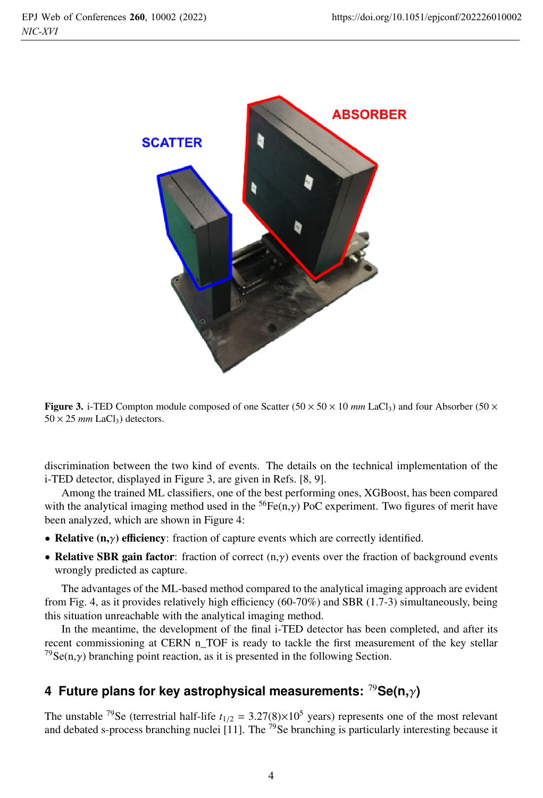

**Figure 3.** i-TED Compton module composed of one Scatter ( $50 \times 50 \times 10$  *mm* LaCl<sub>3</sub>) and four Absorber ( $50 \times$  $50 \times 25$  *mm* LaCl<sub>3</sub>) detectors.

discrimination between the two kind of events. The details on the technical implementation of the i-TED detector, displayed in Figure 3, are given in Refs. [8, 9].

Among the trained ML classifiers, one of the best performing ones, XGBoost, has been compared with the analytical imaging method used in the <sup>56</sup>Fe(n, $\gamma$ ) PoC experiment. Two figures of merit have been analyzed, which are shown in Figure 4:

- Relative  $(n, \gamma)$  efficiency: fraction of capture events which are correctly identified.
- Relative SBR gain factor: fraction of correct  $(n, \gamma)$  events over the fraction of background events wrongly predicted as capture.

The advantages of the ML-based method compared to the analytical imaging approach are evident from Fig. 4, as it provides relatively high efficiency (60-70%) and SBR (1.7-3) simultaneously, being this situation unreachable with the analytical imaging method.

In the meantime, the development of the final i-TED detector has been completed, and after its recent commissioning at CERN n\_TOF is ready to tackle the first measurement of the key stellar <sup>79</sup>Se(n, $\gamma$ ) branching point reaction, as it is presented in the following Section.

# **4 Future plans for key astrophysical measurements:** <sup>79</sup>**Se(n,**γ**)**

The unstable <sup>79</sup>Se (terrestrial half-life  $t_{1/2} = 3.27(8) \times 10^5$  years) represents one of the most relevant and debated s-process branching nuclei  $\left[11\right]$ . The <sup>79</sup>Se branching is particularly interesting because it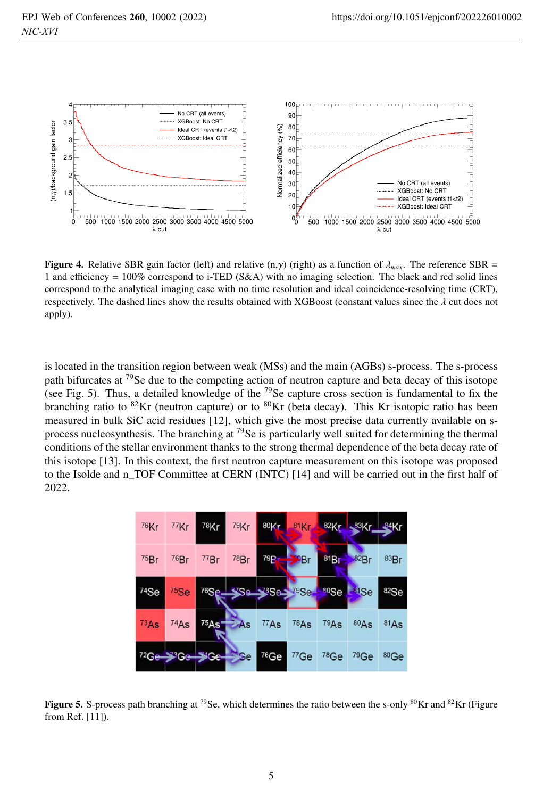

**Figure 4.** Relative SBR gain factor (left) and relative  $(n, \gamma)$  (right) as a function of  $\lambda_{max}$ . The reference SBR = 1 and efficiency = 100% correspond to i-TED (S&A) with no imaging selection. The black and red solid lines correspond to the analytical imaging case with no time resolution and ideal coincidence-resolving time (CRT), respectively. The dashed lines show the results obtained with XGBoost (constant values since the  $\lambda$  cut does not apply).

is located in the transition region between weak (MSs) and the main (AGBs) s-process. The s-process path bifurcates at  $^{79}$ Se due to the competing action of neutron capture and beta decay of this isotope (see Fig. 5). Thus, a detailed knowledge of the <sup>79</sup>Se capture cross section is fundamental to fix the branching ratio to  ${}^{82}$ Kr (neutron capture) or to  ${}^{80}$ Kr (beta decay). This Kr isotopic ratio has been measured in bulk SiC acid residues [12], which give the most precise data currently available on sprocess nucleosynthesis. The branching at  $^{79}$ Se is particularly well suited for determining the thermal conditions of the stellar environment thanks to the strong thermal dependence of the beta decay rate of this isotope [13]. In this context, the first neutron capture measurement on this isotope was proposed to the Isolde and n\_TOF Committee at CERN (INTC) [14] and will be carried out in the first half of 2022.

| 76Kr             | 77Kr | 78Kr                      | 79Kr              | 80Kr                 | $81$ Kr $\blacksquare$ | 82Kr             | $$83$ Kr         | R4Kr |
|------------------|------|---------------------------|-------------------|----------------------|------------------------|------------------|------------------|------|
| 75Br             | 76Br | 77Br                      | 78Br              | 79 <b>P</b> r        | l <sup>o</sup> Br      | 81Br             | 82Br             | 83Br |
| <sup>74</sup> Se | 75Se | 76Se.                     |                   | <b>TSe 38Se 78Se</b> |                        | <sup>80</sup> Se | $81$ Se          | 82Se |
| 73As             | 74As | 75As                      | $\overline{z}$ As | 77As                 | <b>78As</b>            | 79As             | 80As             | 81As |
|                  |      | <sup>72</sup> Ge SGe SGe- | S <sub>e</sub>    | <sup>76</sup> Ge     | 77 <sub>Ge</sub>       | 78Ge             | <sup>79</sup> Ge | 80Ge |

**Figure 5.** S-process path branching at <sup>79</sup>Se, which determines the ratio between the s-only <sup>80</sup>Kr and <sup>82</sup>Kr (Figure from Ref. [11]).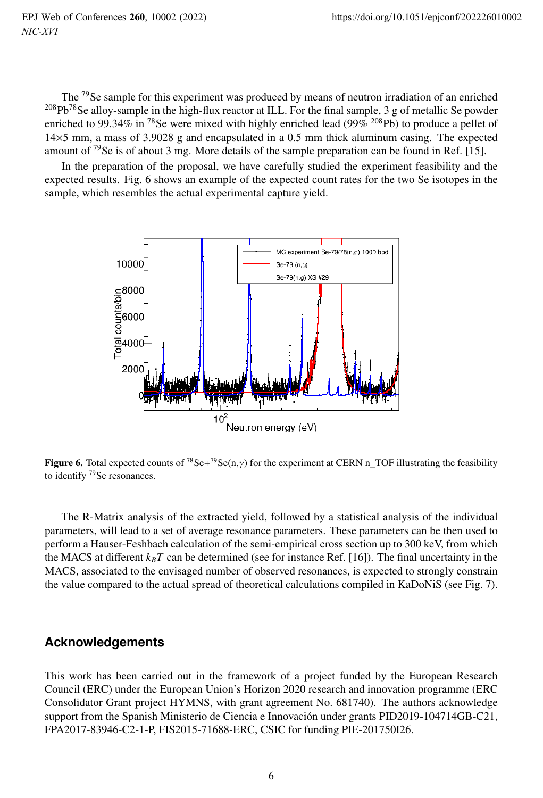The <sup>79</sup>Se sample for this experiment was produced by means of neutron irradiation of an enriched <sup>208</sup>Pb<sup>78</sup>Se alloy-sample in the high-flux reactor at ILL. For the final sample, 3 g of metallic Se powder enriched to 99.34% in <sup>78</sup>Se were mixed with highly enriched lead (99% <sup>208</sup>Pb) to produce a pellet of 14×5 mm, a mass of 3.9028 g and encapsulated in a 0.5 mm thick aluminum casing. The expected amount of  $\frac{79}{5}$  is of about 3 mg. More details of the sample preparation can be found in Ref. [15].

In the preparation of the proposal, we have carefully studied the experiment feasibility and the expected results. Fig. 6 shows an example of the expected count rates for the two Se isotopes in the sample, which resembles the actual experimental capture yield.



**Figure 6.** Total expected counts of <sup>78</sup>Se+<sup>79</sup>Se(n,γ) for the experiment at CERN n\_TOF illustrating the feasibility to identify <sup>79</sup>Se resonances.

The R-Matrix analysis of the extracted yield, followed by a statistical analysis of the individual parameters, will lead to a set of average resonance parameters. These parameters can be then used to perform a Hauser-Feshbach calculation of the semi-empirical cross section up to 300 keV, from which the MACS at different  $k_B T$  can be determined (see for instance Ref. [16]). The final uncertainty in the MACS, associated to the envisaged number of observed resonances, is expected to strongly constrain the value compared to the actual spread of theoretical calculations compiled in KaDoNiS (see Fig. 7).

### **Acknowledgements**

This work has been carried out in the framework of a project funded by the European Research Council (ERC) under the European Union's Horizon 2020 research and innovation programme (ERC Consolidator Grant project HYMNS, with grant agreement No. 681740). The authors acknowledge support from the Spanish Ministerio de Ciencia e Innovación under grants PID2019-104714GB-C21, FPA2017-83946-C2-1-P, FIS2015-71688-ERC, CSIC for funding PIE-201750I26.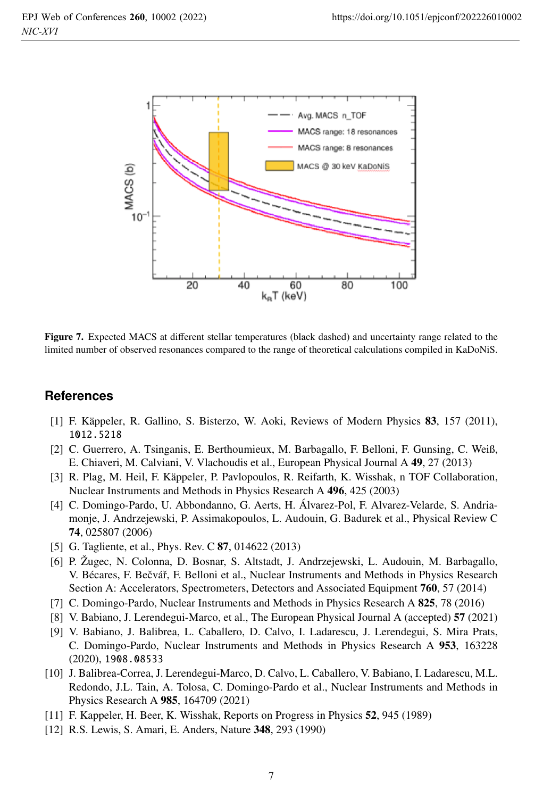

Figure 7. Expected MACS at different stellar temperatures (black dashed) and uncertainty range related to the limited number of observed resonances compared to the range of theoretical calculations compiled in KaDoNiS.

#### **References**

- [1] F. Käppeler, R. Gallino, S. Bisterzo, W. Aoki, Reviews of Modern Physics 83, 157 (2011), 1012.5218
- [2] C. Guerrero, A. Tsinganis, E. Berthoumieux, M. Barbagallo, F. Belloni, F. Gunsing, C. Weiß, E. Chiaveri, M. Calviani, V. Vlachoudis et al., European Physical Journal A 49, 27 (2013)
- [3] R. Plag, M. Heil, F. Käppeler, P. Pavlopoulos, R. Reifarth, K. Wisshak, n TOF Collaboration, Nuclear Instruments and Methods in Physics Research A 496, 425 (2003)
- [4] C. Domingo-Pardo, U. Abbondanno, G. Aerts, H. Álvarez-Pol, F. Alvarez-Velarde, S. Andriamonje, J. Andrzejewski, P. Assimakopoulos, L. Audouin, G. Badurek et al., Physical Review C 74, 025807 (2006)
- [5] G. Tagliente, et al., Phys. Rev. C 87, 014622 (2013)
- [6] P. Žugec, N. Colonna, D. Bosnar, S. Altstadt, J. Andrzejewski, L. Audouin, M. Barbagallo, V. Bécares, F. Bečvář, F. Belloni et al., Nuclear Instruments and Methods in Physics Research Section A: Accelerators, Spectrometers, Detectors and Associated Equipment 760, 57 (2014)
- [7] C. Domingo-Pardo, Nuclear Instruments and Methods in Physics Research A 825, 78 (2016)
- [8] V. Babiano, J. Lerendegui-Marco, et al., The European Physical Journal A (accepted) 57 (2021)
- [9] V. Babiano, J. Balibrea, L. Caballero, D. Calvo, I. Ladarescu, J. Lerendegui, S. Mira Prats, C. Domingo-Pardo, Nuclear Instruments and Methods in Physics Research A 953, 163228 (2020), 1908.08533
- [10] J. Balibrea-Correa, J. Lerendegui-Marco, D. Calvo, L. Caballero, V. Babiano, I. Ladarescu, M.L. Redondo, J.L. Tain, A. Tolosa, C. Domingo-Pardo et al., Nuclear Instruments and Methods in Physics Research A 985, 164709 (2021)
- [11] F. Kappeler, H. Beer, K. Wisshak, Reports on Progress in Physics 52, 945 (1989)
- [12] R.S. Lewis, S. Amari, E. Anders, Nature 348, 293 (1990)